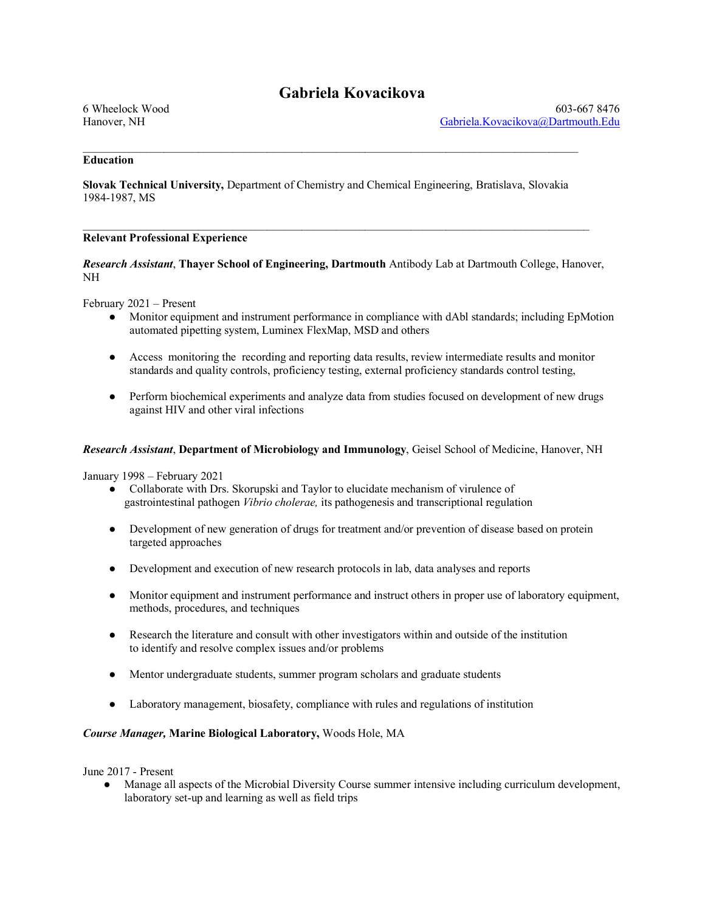# **Gabriela Kovacikova**

# **Education**

**Slovak Technical University,** Department of Chemistry and Chemical Engineering, Bratislava, Slovakia 1984-1987, MS

 $\mathcal{L}_\text{max}$ 

 $\mathcal{L}_\mathcal{L} = \{ \mathcal{L}_\mathcal{L} = \{ \mathcal{L}_\mathcal{L} = \{ \mathcal{L}_\mathcal{L} = \{ \mathcal{L}_\mathcal{L} = \{ \mathcal{L}_\mathcal{L} = \{ \mathcal{L}_\mathcal{L} = \{ \mathcal{L}_\mathcal{L} = \{ \mathcal{L}_\mathcal{L} = \{ \mathcal{L}_\mathcal{L} = \{ \mathcal{L}_\mathcal{L} = \{ \mathcal{L}_\mathcal{L} = \{ \mathcal{L}_\mathcal{L} = \{ \mathcal{L}_\mathcal{L} = \{ \mathcal{L}_\mathcal{$ 

## **Relevant Professional Experience**

*Research Assistant*, **Thayer School of Engineering, Dartmouth** Antibody Lab at Dartmouth College, Hanover, NH

February 2021 – Present

- Monitor equipment and instrument performance in compliance with dAbl standards; including EpMotion automated pipetting system, Luminex FlexMap, MSD and others
- Access monitoring the recording and reporting data results, review intermediate results and monitor standards and quality controls, proficiency testing, external proficiency standards control testing,
- Perform biochemical experiments and analyze data from studies focused on development of new drugs against HIV and other viral infections

## *Research Assistant*, **Department of Microbiology and Immunology**, Geisel School of Medicine, Hanover, NH

January 1998 – February 2021

- Collaborate with Drs. Skorupski and Taylor to elucidate mechanism of virulence of gastrointestinal pathogen *Vibrio cholerae,* its pathogenesis and transcriptional regulation
- Development of new generation of drugs for treatment and/or prevention of disease based on protein targeted approaches
- Development and execution of new research protocols in lab, data analyses and reports
- Monitor equipment and instrument performance and instruct others in proper use of laboratory equipment, methods, procedures, and techniques
- Research the literature and consult with other investigators within and outside of the institution to identify and resolve complex issues and/or problems
- Mentor undergraduate students, summer program scholars and graduate students
- Laboratory management, biosafety, compliance with rules and regulations of institution

#### *Course Manager,* **Marine Biological Laboratory,** Woods Hole, MA

June 2017 - Present

Manage all aspects of the Microbial Diversity Course summer intensive including curriculum development, laboratory set-up and learning as well as field trips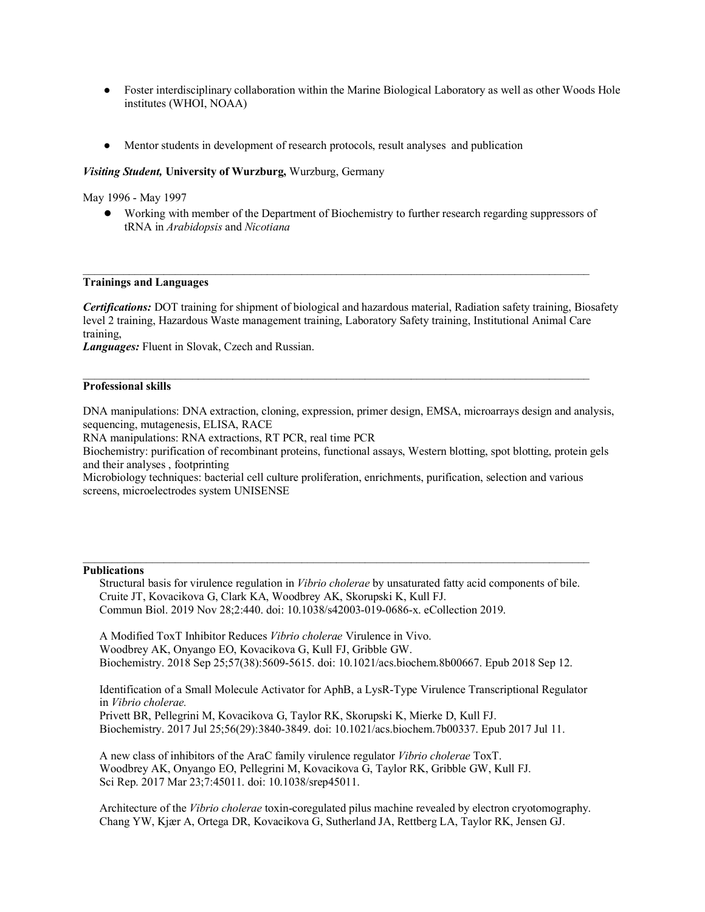- Foster interdisciplinary collaboration within the Marine Biological Laboratory as well as other Woods Hole institutes (WHOI, NOAA)
- Mentor students in development of research protocols, result analyses and publication

## *Visiting Student,* **University of Wurzburg,** Wurzburg, Germany

May 1996 - May 1997

● Working with member of the Department of Biochemistry to further research regarding suppressors of tRNA in *Arabidopsis* and *Nicotiana*

#### **Trainings and Languages**

*Certifications:* DOT training for shipment of biological and hazardous material, Radiation safety training, Biosafety level 2 training, Hazardous Waste management training, Laboratory Safety training, Institutional Animal Care training,

*Languages:* Fluent in Slovak, Czech and Russian.

## **Professional skills**

DNA manipulations: DNA extraction, cloning, expression, primer design, EMSA, microarrays design and analysis, sequencing, mutagenesis, ELISA, RACE

 $\mathcal{L}_\mathcal{L} = \{ \mathcal{L}_\mathcal{L} = \{ \mathcal{L}_\mathcal{L} = \{ \mathcal{L}_\mathcal{L} = \{ \mathcal{L}_\mathcal{L} = \{ \mathcal{L}_\mathcal{L} = \{ \mathcal{L}_\mathcal{L} = \{ \mathcal{L}_\mathcal{L} = \{ \mathcal{L}_\mathcal{L} = \{ \mathcal{L}_\mathcal{L} = \{ \mathcal{L}_\mathcal{L} = \{ \mathcal{L}_\mathcal{L} = \{ \mathcal{L}_\mathcal{L} = \{ \mathcal{L}_\mathcal{L} = \{ \mathcal{L}_\mathcal{$ 

RNA manipulations: RNA extractions, RT PCR, real time PCR

Biochemistry: purification of recombinant proteins, functional assays, Western blotting, spot blotting, protein gels and their analyses , footprinting

Microbiology techniques: bacterial cell culture proliferation, enrichments, purification, selection and various screens, microelectrodes system UNISENSE

## **Publications**

Structural basis for virulence regulation in *Vibrio cholerae* by unsaturated fatty acid components of bile. Cruite JT, Kovacikova G, Clark KA, Woodbrey AK, Skorupski K, Kull FJ. Commun Biol. 2019 Nov 28;2:440. doi: 10.1038/s42003-019-0686-x. eCollection 2019.

 $\mathcal{L}_\text{max}$ 

A Modified ToxT Inhibitor Reduces *Vibrio cholerae* Virulence in Vivo. Woodbrey AK, Onyango EO, Kovacikova G, Kull FJ, Gribble GW. Biochemistry. 2018 Sep 25;57(38):5609-5615. doi: 10.1021/acs.biochem.8b00667. Epub 2018 Sep 12.

Identification of a Small Molecule Activator for AphB, a LysR-Type Virulence Transcriptional Regulator in *Vibrio cholerae.*

Privett BR, Pellegrini M, Kovacikova G, Taylor RK, Skorupski K, Mierke D, Kull FJ. Biochemistry. 2017 Jul 25;56(29):3840-3849. doi: 10.1021/acs.biochem.7b00337. Epub 2017 Jul 11.

A new class of inhibitors of the AraC family virulence regulator *Vibrio cholerae* ToxT. Woodbrey AK, Onyango EO, Pellegrini M, Kovacikova G, Taylor RK, Gribble GW, Kull FJ. Sci Rep. 2017 Mar 23;7:45011. doi: 10.1038/srep45011.

Architecture of the *Vibrio cholerae* toxin-coregulated pilus machine revealed by electron cryotomography. Chang YW, Kjær A, Ortega DR, Kovacikova G, Sutherland JA, Rettberg LA, Taylor RK, Jensen GJ.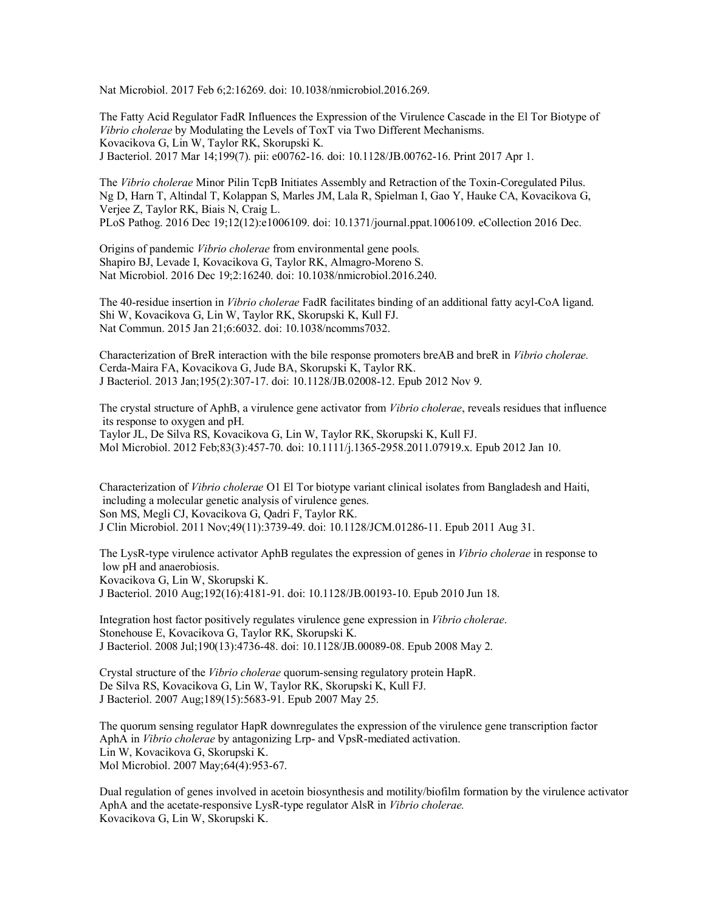Nat Microbiol. 2017 Feb 6;2:16269. doi: 10.1038/nmicrobiol.2016.269.

The Fatty Acid Regulator FadR Influences the Expression of the Virulence Cascade in the El Tor Biotype of *Vibrio cholerae* by Modulating the Levels of ToxT via Two Different Mechanisms. Kovacikova G, Lin W, Taylor RK, Skorupski K. J Bacteriol. 2017 Mar 14;199(7). pii: e00762-16. doi: 10.1128/JB.00762-16. Print 2017 Apr 1.

The *Vibrio cholerae* Minor Pilin TcpB Initiates Assembly and Retraction of the Toxin-Coregulated Pilus. Ng D, Harn T, Altindal T, Kolappan S, Marles JM, Lala R, Spielman I, Gao Y, Hauke CA, Kovacikova G, Verjee Z, Taylor RK, Biais N, Craig L.

PLoS Pathog. 2016 Dec 19;12(12):e1006109. doi: 10.1371/journal.ppat.1006109. eCollection 2016 Dec.

Origins of pandemic *Vibrio cholerae* from environmental gene pools. Shapiro BJ, Levade I, Kovacikova G, Taylor RK, Almagro-Moreno S. Nat Microbiol. 2016 Dec 19;2:16240. doi: 10.1038/nmicrobiol.2016.240.

The 40-residue insertion in *Vibrio cholerae* FadR facilitates binding of an additional fatty acyl-CoA ligand. Shi W, Kovacikova G, Lin W, Taylor RK, Skorupski K, Kull FJ. Nat Commun. 2015 Jan 21;6:6032. doi: 10.1038/ncomms7032.

Characterization of BreR interaction with the bile response promoters breAB and breR in *Vibrio cholerae.* Cerda-Maira FA, Kovacikova G, Jude BA, Skorupski K, Taylor RK. J Bacteriol. 2013 Jan;195(2):307-17. doi: 10.1128/JB.02008-12. Epub 2012 Nov 9.

The crystal structure of AphB, a virulence gene activator from *Vibrio cholerae*, reveals residues that influence its response to oxygen and pH. Taylor JL, De Silva RS, Kovacikova G, Lin W, Taylor RK, Skorupski K, Kull FJ.

Mol Microbiol. 2012 Feb;83(3):457-70. doi: 10.1111/j.1365-2958.2011.07919.x. Epub 2012 Jan 10.

Characterization of *Vibrio cholerae* O1 El Tor biotype variant clinical isolates from Bangladesh and Haiti, including a molecular genetic analysis of virulence genes. Son MS, Megli CJ, Kovacikova G, Qadri F, Taylor RK.

J Clin Microbiol. 2011 Nov;49(11):3739-49. doi: 10.1128/JCM.01286-11. Epub 2011 Aug 31.

The LysR-type virulence activator AphB regulates the expression of genes in *Vibrio cholerae* in response to low pH and anaerobiosis.

Kovacikova G, Lin W, Skorupski K.

J Bacteriol. 2010 Aug;192(16):4181-91. doi: 10.1128/JB.00193-10. Epub 2010 Jun 18.

Integration host factor positively regulates virulence gene expression in *Vibrio cholerae*. Stonehouse E, Kovacikova G, Taylor RK, Skorupski K. J Bacteriol. 2008 Jul;190(13):4736-48. doi: 10.1128/JB.00089-08. Epub 2008 May 2.

Crystal structure of the *Vibrio cholerae* quorum-sensing regulatory protein HapR. De Silva RS, Kovacikova G, Lin W, Taylor RK, Skorupski K, Kull FJ. J Bacteriol. 2007 Aug;189(15):5683-91. Epub 2007 May 25.

The quorum sensing regulator HapR downregulates the expression of the virulence gene transcription factor AphA in *Vibrio cholerae* by antagonizing Lrp- and VpsR-mediated activation. Lin W, Kovacikova G, Skorupski K. Mol Microbiol. 2007 May;64(4):953-67.

Dual regulation of genes involved in acetoin biosynthesis and motility/biofilm formation by the virulence activator AphA and the acetate-responsive LysR-type regulator AlsR in *Vibrio cholerae.* Kovacikova G, Lin W, Skorupski K.